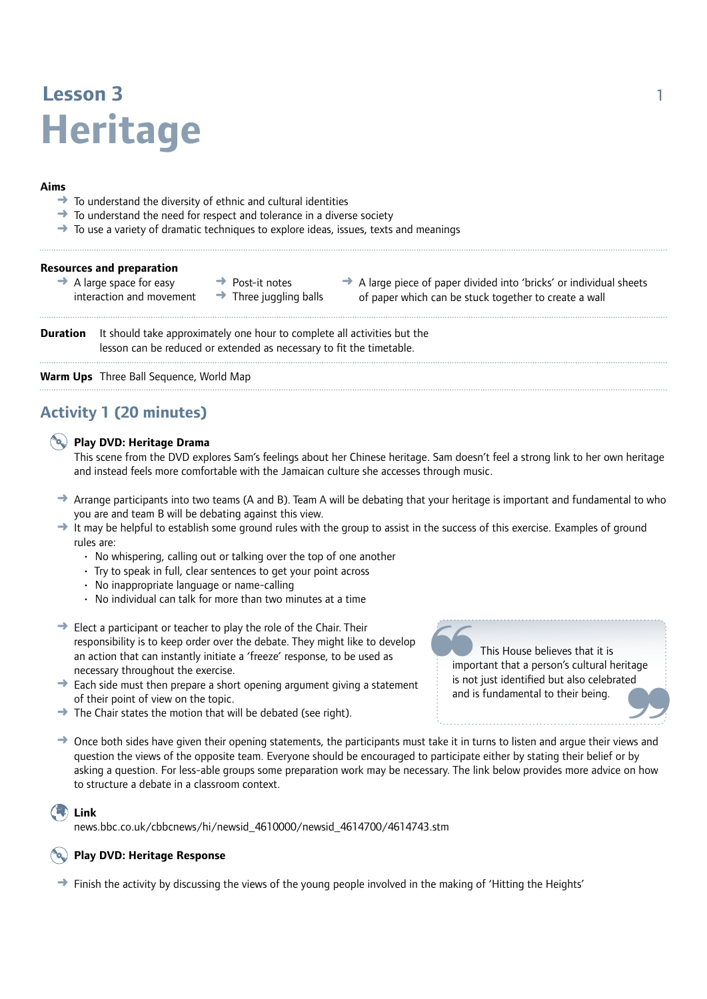# **Lesson 3** 1 **Heritage**

#### **Aims**

- To understand the diversity of ethnic and cultural identities
- **→** To understand the need for respect and tolerance in a diverse society
- $\rightarrow$  To use a variety of dramatic techniques to explore ideas, issues, texts and meanings

| <b>Resources and preparation</b> |  |  |  |
|----------------------------------|--|--|--|
|----------------------------------|--|--|--|

- $\rightarrow$  A large space for easy interaction and movement
- $\rightarrow$  Post-it notes  $\rightarrow$  Three juggling balls

 $\rightarrow$  A large piece of paper divided into 'bricks' or individual sheets of paper which can be stuck together to create a wall

**Duration** It should take approximately one hour to complete all activities but the lesson can be reduced or extended as necessary to fit the timetable.

**Warm Ups** Three Ball Sequence, World Map

# **Activity 1 (20 minutes)**

#### **Play DVD: Heritage Drama**

This scene from the DVD explores Sam's feelings about her Chinese heritage. Sam doesn't feel a strong link to her own heritage and instead feels more comfortable with the Jamaican culture she accesses through music.

- → Arrange participants into two teams (A and B). Team A will be debating that your heritage is important and fundamental to who you are and team B will be debating against this view.
- $\rightarrow$  It may be helpful to establish some ground rules with the group to assist in the success of this exercise. Examples of ground rules are:
	- No whispering, calling out or talking over the top of one another
	- Try to speak in full, clear sentences to get your point across
	- No inappropriate language or name-calling
	- No individual can talk for more than two minutes at a time
- $\rightarrow$  Elect a participant or teacher to play the role of the Chair. Their responsibility is to keep order over the debate. They might like to develop an action that can instantly initiate a 'freeze' response, to be used as necessary throughout the exercise.
- $\rightarrow$  Each side must then prepare a short opening argument giving a statement of their point of view on the topic. → Each side must then prepare a short opening argument giving a statement<br>
of their point of view on the topic.<br>
→ The Chair states the motion that will be debated (see right).<br>
→ Once both sides have given their opening
- $\rightarrow$  The Chair states the motion that will be debated (see right).
- question the views of the opposite team. Everyone should be encouraged to participate either by stating their belief or by asking a question. For less-able groups some preparation work may be necessary. The link below provides more advice on how to structure a debate in a classroom context.

#### **Link**

news.bbc.co.uk/cbbcnews/hi/newsid\_4610000/newsid\_4614700/4614743.stm

#### **Play DVD: Heritage Response**

 $\rightarrow$  Finish the activity by discussing the views of the young people involved in the making of 'Hitting the Heights'

 This House believes that it is important that a person's cultural heritage is not just identified but also celebrated ~